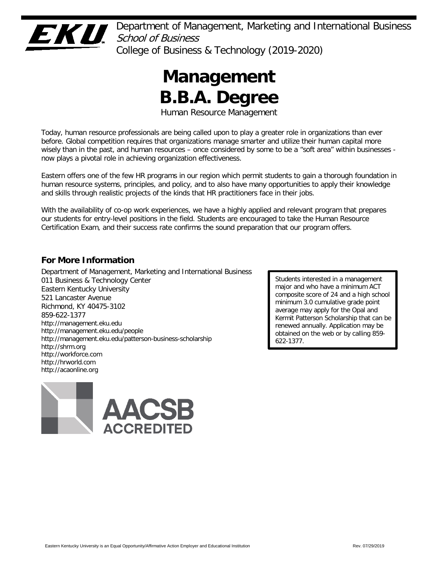

Department of Management, Marketing and International Business School of Business College of Business & Technology (2019-2020)

# **Management B.B.A. Degree**

Human Resource Management

Today, human resource professionals are being called upon to play a greater role in organizations than ever before. Global competition requires that organizations manage smarter and utilize their human capital more wisely than in the past, and human resources – once considered by some to be a "soft area" within businesses now plays a pivotal role in achieving organization effectiveness.

Eastern offers one of the few HR programs in our region which permit students to gain a thorough foundation in human resource systems, principles, and policy, and to also have many opportunities to apply their knowledge and skills through realistic projects of the kinds that HR practitioners face in their jobs.

With the availability of co-op work experiences, we have a highly applied and relevant program that prepares our students for entry-level positions in the field. Students are encouraged to take the Human Resource Certification Exam, and their success rate confirms the sound preparation that our program offers.

# **For More Information**

Department of Management, Marketing and International Business 011 Business & Technology Center Eastern Kentucky University 521 Lancaster Avenue Richmond, KY 40475-3102 859-622-1377 http://management.eku.edu http://management.eku.edu/people http://management.eku.edu/patterson-business-scholarship http://shrm.org http://workforce.com http://hrworld.com http://acaonline.org



Students interested in a management major and who have a minimum ACT composite score of 24 and a high school minimum 3.0 cumulative grade point average may apply for the Opal and Kermit Patterson Scholarship that can be renewed annually. Application may be obtained on the web or by calling 859- 622-1377.